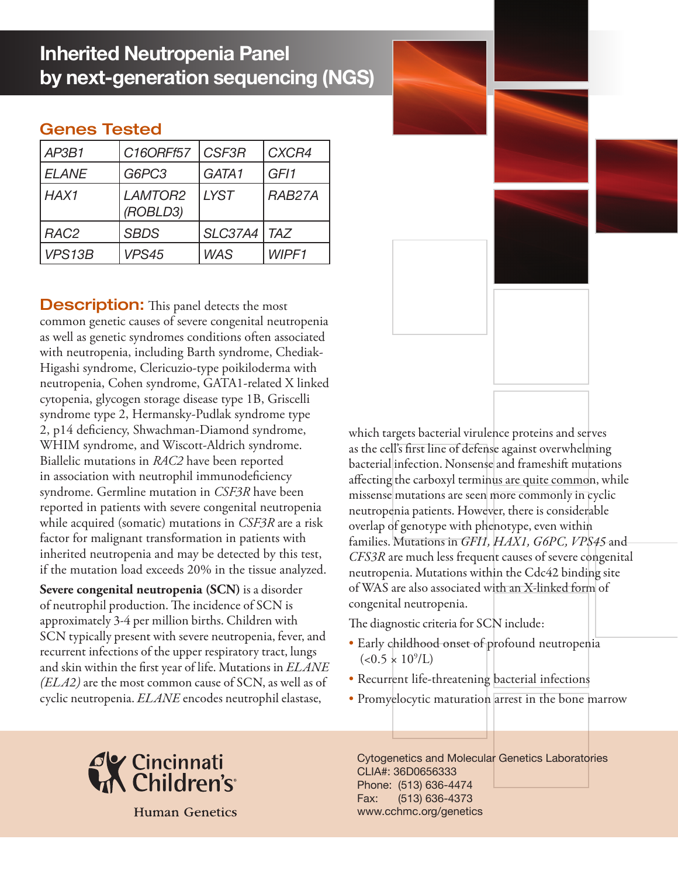## **Inherited Neutropenia Panel by next-generation sequencing (NGS)**

## Genes Tested

| AP3B1            | C16ORFf57           | CSF3R          | CXCR4      |
|------------------|---------------------|----------------|------------|
| <b>ELANE</b>     | G6PC3               | GATA1          | GF11       |
| HAX1             | LAMTOR2<br>(ROBLD3) | <b>LYST</b>    | RAB27A     |
| RAC <sub>2</sub> | <b>SBDS</b>         | <b>SLC37A4</b> | <b>TAZ</b> |
| VPS13B           | VPS45               | <b>WAS</b>     | WIPF1      |

**Description:** This panel detects the most common genetic causes of severe congenital neutropenia as well as genetic syndromes conditions often associated with neutropenia, including Barth syndrome, Chediak-Higashi syndrome, Clericuzio-type poikiloderma with neutropenia, Cohen syndrome, GATA1-related X linked cytopenia, glycogen storage disease type 1B, Griscelli syndrome type 2, Hermansky-Pudlak syndrome type 2, p14 deficiency, Shwachman-Diamond syndrome, WHIM syndrome, and Wiscott-Aldrich syndrome. Biallelic mutations in *RAC2* have been reported in association with neutrophil immunodeficiency syndrome. Germline mutation in *CSF3R* have been reported in patients with severe congenital neutropenia while acquired (somatic) mutations in *CSF3R* are a risk factor for malignant transformation in patients with inherited neutropenia and may be detected by this test, if the mutation load exceeds 20% in the tissue analyzed.

**Severe congenital neutropenia (SCN)** is a disorder of neutrophil production. The incidence of SCN is approximately 3-4 per million births. Children with SCN typically present with severe neutropenia, fever, and recurrent infections of the upper respiratory tract, lungs and skin within the first year of life. Mutations in *ELANE (ELA2)* are the most common cause of SCN, as well as of cyclic neutropenia. *ELANE* encodes neutrophil elastase,

bacterial infection. Nonsense and frameshift mutations affecting the carboxyl terminus are quite common, while missense mutations are seen more commonly in cyclic neutropenia patients. However, there is considerable overlap of genotype with phenotype, even within families. Mutations in *GFI1, HAX1, G6PC, VPS45* and *CFS3R* are much less frequent causes of severe congenital neutropenia. Mutations within the Cdc42 binding site of WAS are also associated with an X-linked form of congenital neutropenia.

which targets bacterial virulence proteins and serves as the cell's first line of defense against overwhelming

The diagnostic criteria for SCN include:

- Early childhood onset of profound neutropenia  $(<0.5 \times 10^9$ /L)
- Recurrent life-threatening bacterial infections
- Promyelocytic maturation arrest in the bone marrow



**Human Genetics** 

Cytogenetics and Molecular Genetics Laboratories CLIA#: 36D0656333 Phone: (513) 636-4474 Fax: (513) 636-4373 www.cchmc.org/genetics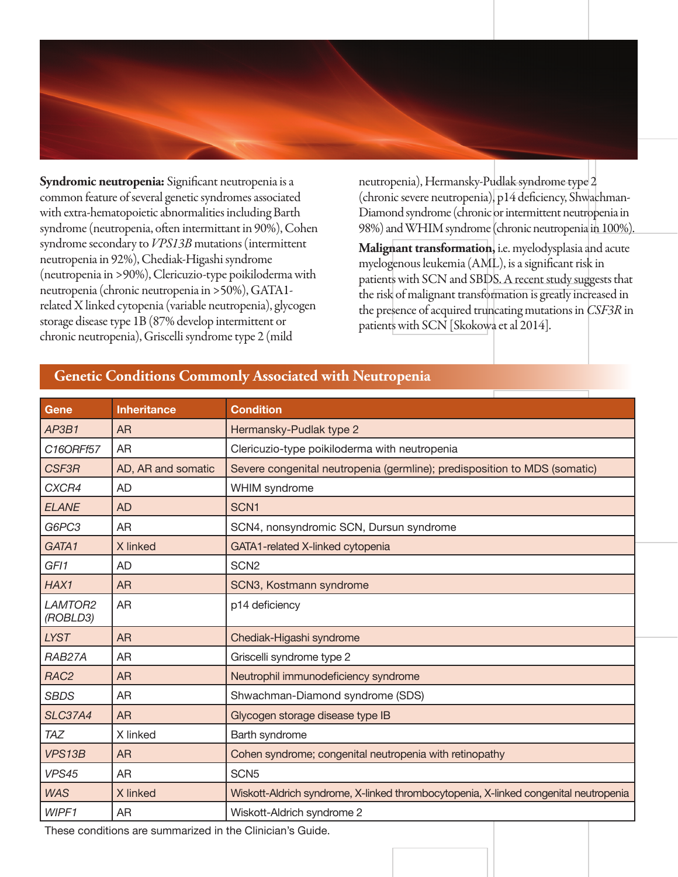

**Syndromic neutropenia:** Significant neutropenia is a common feature of several genetic syndromes associated with extra-hematopoietic abnormalities including Barth syndrome (neutropenia, often intermittant in 90%), Cohen syndrome secondary to *VPS13B* mutations (intermittent neutropenia in 92%), Chediak-Higashi syndrome (neutropenia in >90%), Clericuzio-type poikiloderma with neutropenia (chronic neutropenia in >50%), GATA1 related X linked cytopenia (variable neutropenia), glycogen storage disease type 1B (87% develop intermittent or chronic neutropenia), Griscelli syndrome type 2 (mild

neutropenia), Hermansky-Pudlak syndrome type 2 (chronic severe neutropenia), p14 deficiency, Shwachman-Diamond syndrome (chronic or intermittent neutropenia in 98%) and WHIM syndrome (chronic neutropenia in 100%).

**Malignant transformation,** i.e. myelodysplasia and acute myelogenous leukemia (AML), is a significant risk in patients with SCN and SBDS. A recent study suggests that the risk of malignant transformation is greatly increased in the presence of acquired truncating mutations in *CSF3R* in patients with SCN [Skokowa et al 2014].

# **Gene Inheritance Condition** AP3B1 | AR **Hermansky-Pudlak type 2** *C16ORFf57* AR Clericuzio-type poikiloderma with neutropenia AR p14 deficiency

### **Genetic Conditions Commonly Associated with Neutropenia**

| C16ORF157                                                    | AR                 | Clericuzio-type poikiloderma with neutropenia                                        |  |  |
|--------------------------------------------------------------|--------------------|--------------------------------------------------------------------------------------|--|--|
| <b>CSF3R</b>                                                 | AD, AR and somatic | Severe congenital neutropenia (germline); predisposition to MDS (somatic)            |  |  |
| CXCR4                                                        | AD                 | WHIM syndrome                                                                        |  |  |
| <b>ELANE</b>                                                 | AD                 | SCN <sub>1</sub>                                                                     |  |  |
| G6PC3                                                        | AR                 | SCN4, nonsyndromic SCN, Dursun syndrome                                              |  |  |
| GATA1                                                        | X linked           | GATA1-related X-linked cytopenia                                                     |  |  |
| GF11                                                         | <b>AD</b>          | SCN <sub>2</sub>                                                                     |  |  |
| HAX1                                                         | <b>AR</b>          | SCN3, Kostmann syndrome                                                              |  |  |
| LAMTOR2<br>(ROBLD3)                                          | <b>AR</b>          | p14 deficiency                                                                       |  |  |
| <b>LYST</b>                                                  | <b>AR</b>          | Chediak-Higashi syndrome                                                             |  |  |
| RAB27A                                                       | AR                 | Griscelli syndrome type 2                                                            |  |  |
| RAC <sub>2</sub>                                             | <b>AR</b>          | Neutrophil immunodeficiency syndrome                                                 |  |  |
| <b>SBDS</b>                                                  | AR                 | Shwachman-Diamond syndrome (SDS)                                                     |  |  |
| <b>SLC37A4</b>                                               | <b>AR</b>          | Glycogen storage disease type IB                                                     |  |  |
| <b>TAZ</b>                                                   | X linked           | Barth syndrome                                                                       |  |  |
| VPS13B                                                       | <b>AR</b>          | Cohen syndrome; congenital neutropenia with retinopathy                              |  |  |
| VPS45                                                        | AR.                | SCN <sub>5</sub>                                                                     |  |  |
| <b>WAS</b>                                                   | X linked           | Wiskott-Aldrich syndrome, X-linked thrombocytopenia, X-linked congenital neutropenia |  |  |
| WIPF1                                                        | AR                 | Wiskott-Aldrich syndrome 2                                                           |  |  |
| These sanditions are accompanional in the Oliniaiante Occide |                    |                                                                                      |  |  |

These conditions are summarized in the Clinician's Guide.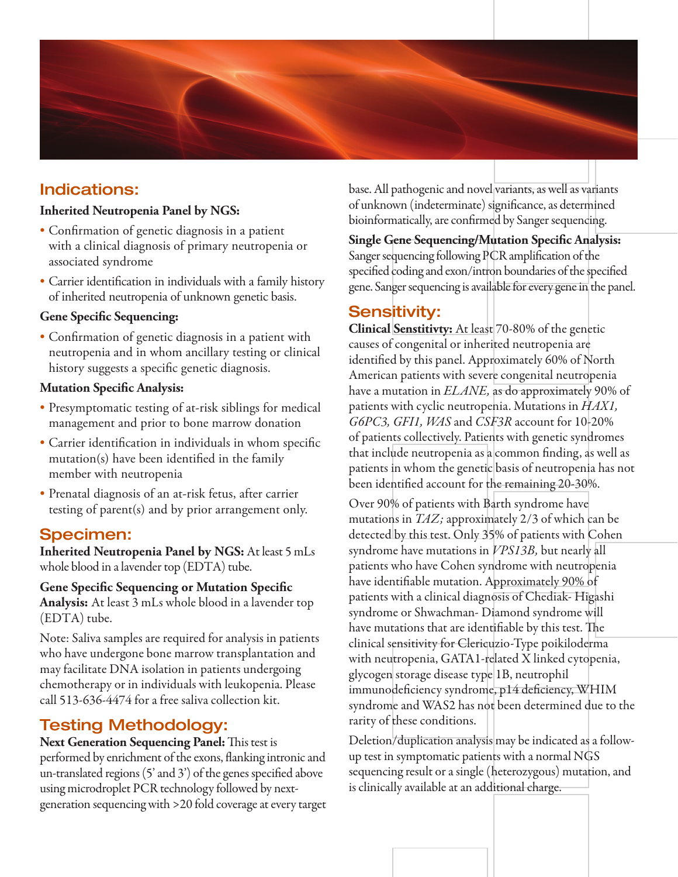

## Indications:

#### **Inherited Neutropenia Panel by NGS:**

- • Confirmation of genetic diagnosis in a patient with a clinical diagnosis of primary neutropenia or associated syndrome
- Carrier identification in individuals with a family history of inherited neutropenia of unknown genetic basis.

#### **Gene Specific Sequencing:**

• Confirmation of genetic diagnosis in a patient with neutropenia and in whom ancillary testing or clinical history suggests a specific genetic diagnosis.

#### **Mutation Specific Analysis:**

- • Presymptomatic testing of at-risk siblings for medical management and prior to bone marrow donation
- Carrier identification in individuals in whom specific mutation(s) have been identified in the family member with neutropenia
- Prenatal diagnosis of an at-risk fetus, after carrier testing of parent(s) and by prior arrangement only.

## Specimen:

**Inherited Neutropenia Panel by NGS:** At least 5 mLs whole blood in a lavender top (EDTA) tube.

#### **Gene Specific Sequencing or Mutation Specific Analysis:** At least 3 mLs whole blood in a lavender top (EDTA) tube.

Note: Saliva samples are required for analysis in patients who have undergone bone marrow transplantation and may facilitate DNA isolation in patients undergoing chemotherapy or in individuals with leukopenia. Please call 513-636-4474 for a free saliva collection kit.

## Testing Methodology:

**Next Generation Sequencing Panel:** This test is performed by enrichment of the exons, flanking intronic and un-translated regions (5' and 3') of the genes specified above using microdroplet PCR technology followed by nextgeneration sequencing with >20 fold coverage at every target base. All pathogenic and novel variants, as well as variants of unknown (indeterminate) significance, as determined bioinformatically, are confirmed by Sanger sequencing.

**Single Gene Sequencing/Mutation Specific Analysis:** Sanger sequencing following PCR amplification of the specified coding and exon/intron boundaries of the specified gene. Sanger sequencing is available for every gene in the panel.

## Sensitivity:

**Clinical Senstitivty:** At least 70-80% of the genetic causes of congenital or inherited neutropenia are identified by this panel. Approximately 60% of North American patients with severe congenital neutropenia have a mutation in *ELANE,* as do approximately 90% of patients with cyclic neutropenia. Mutations in *HAX1, G6PC3, GFI1, WAS* and *CSF3R* account for 10-20% of patients collectively. Patients with genetic syndromes that include neutropenia as a common finding, as well as patients in whom the genetic basis of neutropenia has not been identified account for the remaining 20-30%.

Over 90% of patients with Barth syndrome have mutations in *TAZ;* approximately 2/3 of which can be detected by this test. Only 35% of patients with Cohen syndrome have mutations in *VPS13B,* but nearly all patients who have Cohen syndrome with neutropenia have identifiable mutation. Approximately 90% of patients with a clinical diagnosis of Chediak- Higashi syndrome or Shwachman- Diamond syndrome will have mutations that are identifiable by this test. The clinical sensitivity for Clericuzio-Type poikiloderma with neutropenia, GATA1-related X linked cytopenia, glycogen storage disease type 1B, neutrophil immunodeficiency syndrome, p14 deficiency, WHIM syndrome and WAS2 has not been determined due to the rarity of these conditions.

Deletion/duplication analysis may be indicated as a followup test in symptomatic patients with a normal NGS sequencing result or a single (heterozygous) mutation, and is clinically available at an additional charge.